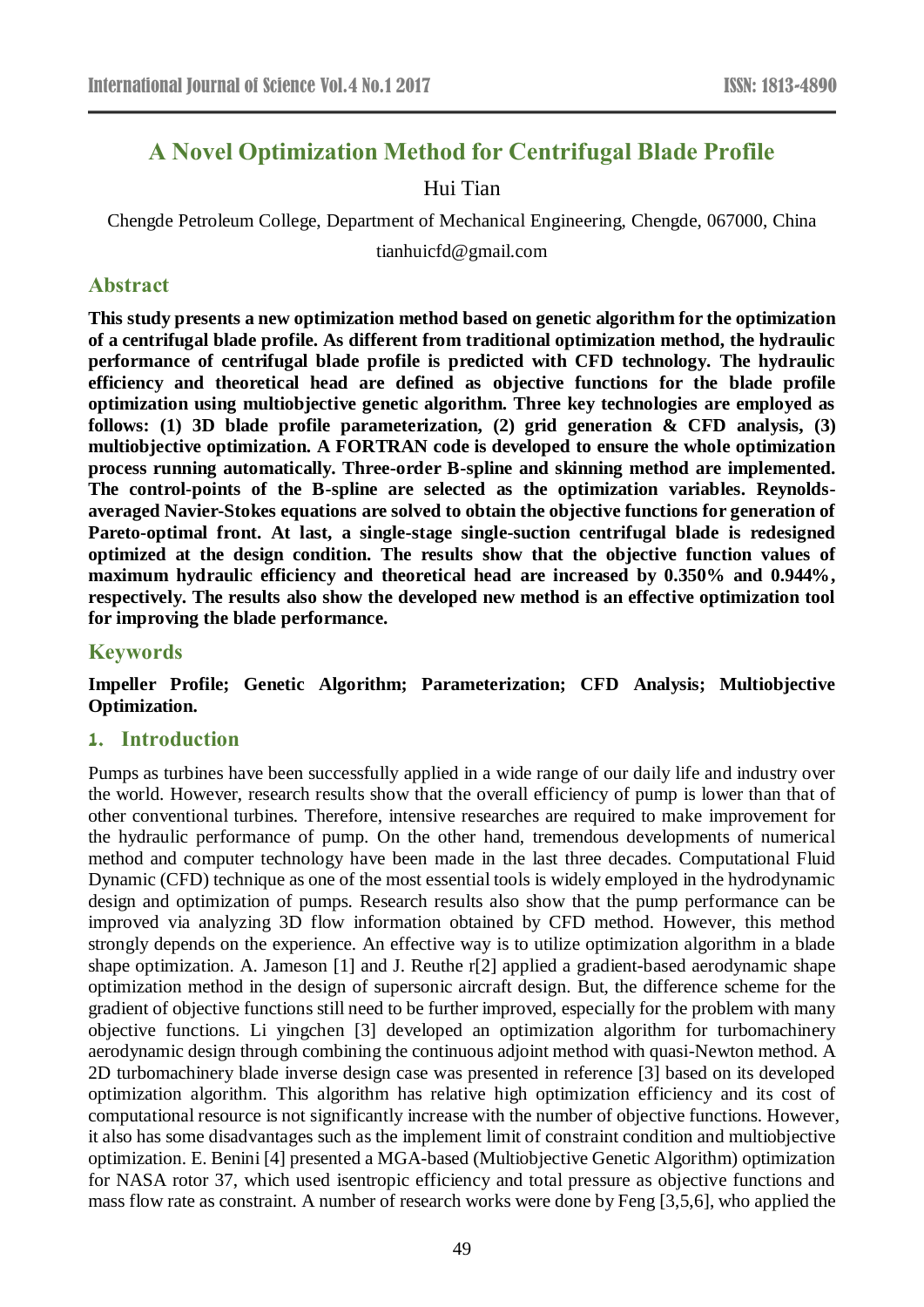# **A Novel Optimization Method for Centrifugal Blade Profile**

## Hui Tian

Chengde Petroleum College, Department of Mechanical Engineering, Chengde, 067000, China

tianhuicfd@gmail.com

## **Abstract**

**This study presents a new optimization method based on genetic algorithm for the optimization of a centrifugal blade profile. As different from traditional optimization method, the hydraulic performance of centrifugal blade profile is predicted with CFD technology. The hydraulic efficiency and theoretical head are defined as objective functions for the blade profile optimization using multiobjective genetic algorithm. Three key technologies are employed as follows: (1) 3D blade profile parameterization, (2) grid generation & CFD analysis, (3) multiobjective optimization. A FORTRAN code is developed to ensure the whole optimization process running automatically. Three-order B-spline and skinning method are implemented. The control-points of the B-spline are selected as the optimization variables. Reynoldsaveraged Navier-Stokes equations are solved to obtain the objective functions for generation of Pareto-optimal front. At last, a single-stage single-suction centrifugal blade is redesigned optimized at the design condition. The results show that the objective function values of maximum hydraulic efficiency and theoretical head are increased by 0.350% and 0.944%, respectively. The results also show the developed new method is an effective optimization tool for improving the blade performance.**

#### **Keywords**

**Impeller Profile; Genetic Algorithm; Parameterization; CFD Analysis; Multiobjective Optimization.** 

## **1. Introduction**

Pumps as turbines have been successfully applied in a wide range of our daily life and industry over the world. However, research results show that the overall efficiency of pump is lower than that of other conventional turbines. Therefore, intensive researches are required to make improvement for the hydraulic performance of pump. On the other hand, tremendous developments of numerical method and computer technology have been made in the last three decades. Computational Fluid Dynamic (CFD) technique as one of the most essential tools is widely employed in the hydrodynamic design and optimization of pumps. Research results also show that the pump performance can be improved via analyzing 3D flow information obtained by CFD method. However, this method strongly depends on the experience. An effective way is to utilize optimization algorithm in a blade shape optimization. A. Jameson [1] and J. Reuthe r[2] applied a gradient-based aerodynamic shape optimization method in the design of supersonic aircraft design. But, the difference scheme for the gradient of objective functions still need to be further improved, especially for the problem with many objective functions. Li yingchen [3] developed an optimization algorithm for turbomachinery aerodynamic design through combining the continuous adjoint method with quasi-Newton method. A 2D turbomachinery blade inverse design case was presented in reference [3] based on its developed optimization algorithm. This algorithm has relative high optimization efficiency and its cost of computational resource is not significantly increase with the number of objective functions. However, it also has some disadvantages such as the implement limit of constraint condition and multiobjective optimization. E. Benini [4] presented a MGA-based (Multiobjective Genetic Algorithm) optimization for NASA rotor 37, which used isentropic efficiency and total pressure as objective functions and mass flow rate as constraint. A number of research works were done by Feng [3,5,6], who applied the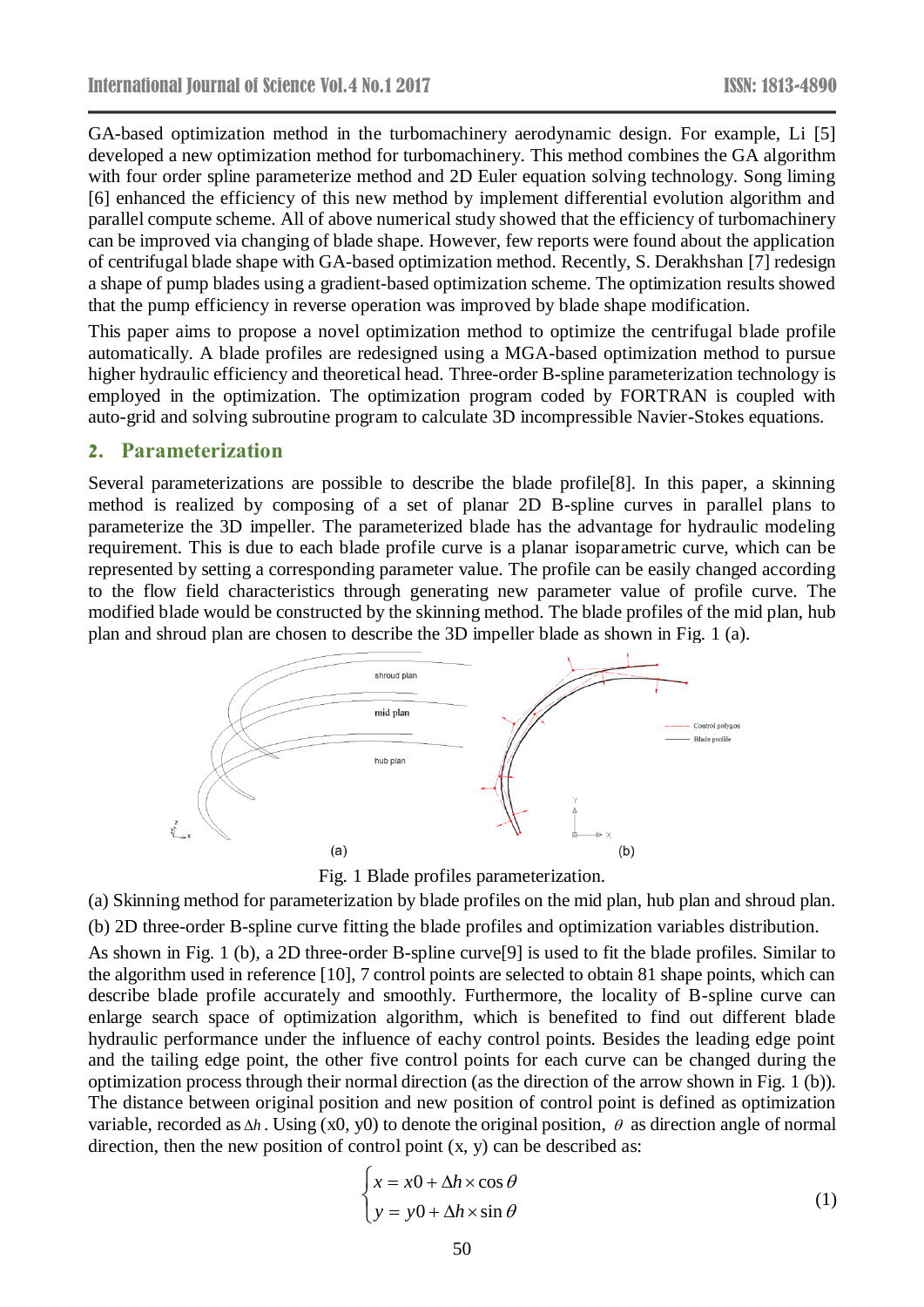GA-based optimization method in the turbomachinery aerodynamic design. For example, Li [5] developed a new optimization method for turbomachinery. This method combines the GA algorithm with four order spline parameterize method and 2D Euler equation solving technology. Song liming [6] enhanced the efficiency of this new method by implement differential evolution algorithm and parallel compute scheme. All of above numerical study showed that the efficiency of turbomachinery can be improved via changing of blade shape. However, few reports were found about the application of centrifugal blade shape with GA-based optimization method. Recently, S. Derakhshan [7] redesign a shape of pump blades using a gradient-based optimization scheme. The optimization results showed that the pump efficiency in reverse operation was improved by blade shape modification.

This paper aims to propose a novel optimization method to optimize the centrifugal blade profile automatically. A blade profiles are redesigned using a MGA-based optimization method to pursue higher hydraulic efficiency and theoretical head. Three-order B-spline parameterization technology is employed in the optimization. The optimization program coded by FORTRAN is coupled with auto-grid and solving subroutine program to calculate 3D incompressible Navier-Stokes equations.

#### **2. Parameterization**

Several parameterizations are possible to describe the blade profile[8]. In this paper, a skinning method is realized by composing of a set of planar 2D B-spline curves in parallel plans to parameterize the 3D impeller. The parameterized blade has the advantage for hydraulic modeling requirement. This is due to each blade profile curve is a planar isoparametric curve, which can be represented by setting a corresponding parameter value. The profile can be easily changed according to the flow field characteristics through generating new parameter value of profile curve. The modified blade would be constructed by the skinning method. The blade profiles of the mid plan, hub plan and shroud plan are chosen to describe the 3D impeller blade as shown in Fig. 1 (a).



Fig. 1 Blade profiles parameterization.

(a) Skinning method for parameterization by blade profiles on the mid plan, hub plan and shroud plan.

(b) 2D three-order B-spline curve fitting the blade profiles and optimization variables distribution.

As shown in Fig. 1 (b), a 2D three-order B-spline curve[9] is used to fit the blade profiles. Similar to the algorithm used in reference [10], 7 control points are selected to obtain 81 shape points, which can describe blade profile accurately and smoothly. Furthermore, the locality of B-spline curve can enlarge search space of optimization algorithm, which is benefited to find out different blade hydraulic performance under the influence of eachy control points. Besides the leading edge point and the tailing edge point, the other five control points for each curve can be changed during the optimization process through their normal direction (as the direction of the arrow shown in Fig. 1 (b)). The distance between original position and new position of control point is defined as optimization variable, recorded as  $\Delta h$ . Using (x0, y0) to denote the original position,  $\theta$  as direction angle of normal direction, then the new position of control point  $(x, y)$  can be described as:

$$
\begin{cases}\n x = x0 + \Delta h \times \cos \theta \\
y = y0 + \Delta h \times \sin \theta\n\end{cases}
$$
\n(1)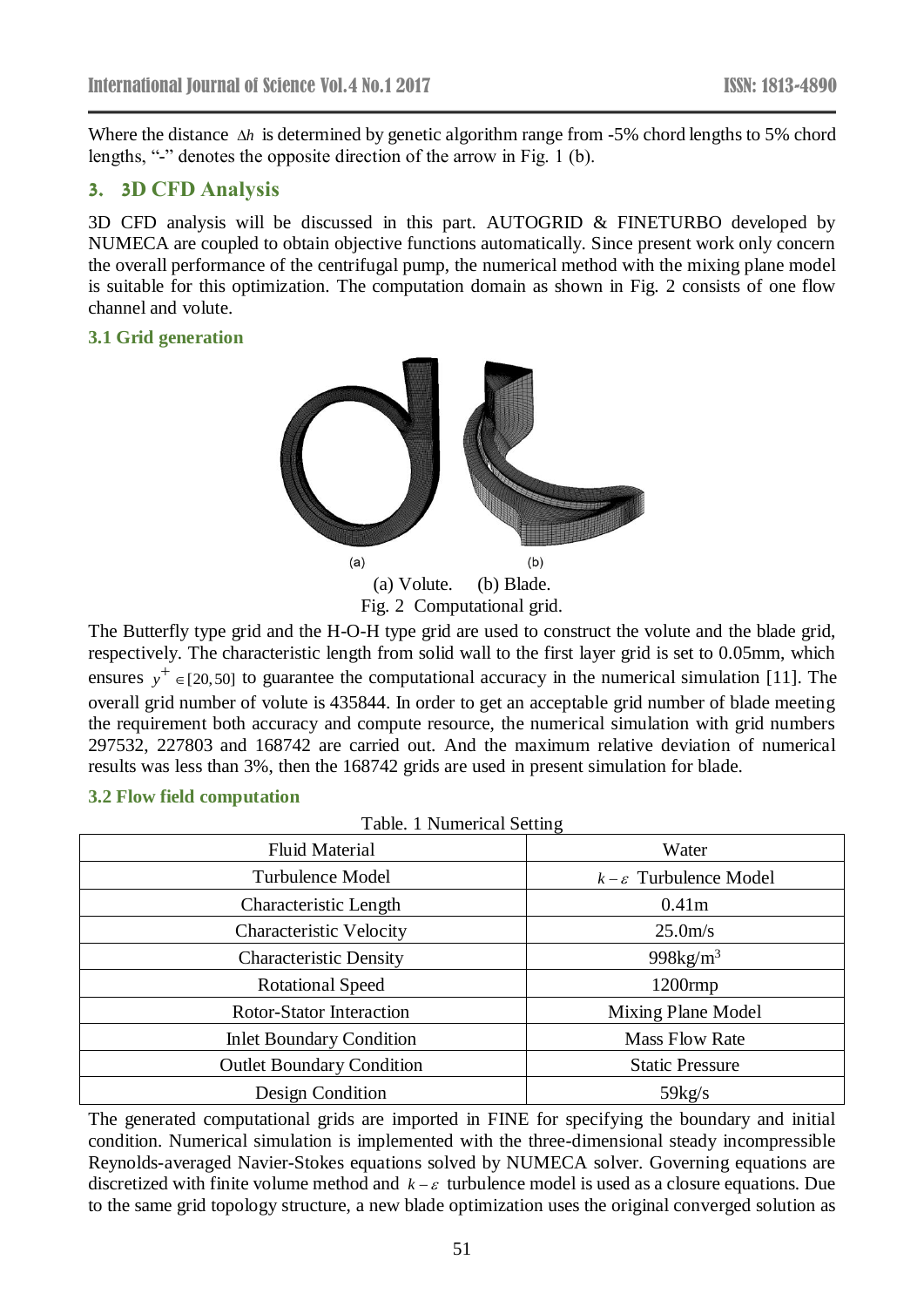Where the distance  $\Delta h$  is determined by genetic algorithm range from -5% chord lengths to 5% chord lengths, "-" denotes the opposite direction of the arrow in Fig. 1 (b).

# **3. 3D CFD Analysis**

3D CFD analysis will be discussed in this part. AUTOGRID & FINETURBO developed by NUMECA are coupled to obtain objective functions automatically. Since present work only concern the overall performance of the centrifugal pump, the numerical method with the mixing plane model is suitable for this optimization. The computation domain as shown in Fig. 2 consists of one flow channel and volute.

## **3.1 Grid generation**



Fig. 2 Computational grid.

The Butterfly type grid and the H-O-H type grid are used to construct the volute and the blade grid, respectively. The characteristic length from solid wall to the first layer grid is set to 0.05mm, which ensures  $y^+ \in [20, 50]$  to guarantee the computational accuracy in the numerical simulation [11]. The overall grid number of volute is 435844. In order to get an acceptable grid number of blade meeting the requirement both accuracy and compute resource, the numerical simulation with grid numbers 297532, 227803 and 168742 are carried out. And the maximum relative deviation of numerical results was less than 3%, then the 168742 grids are used in present simulation for blade.

#### **3.2 Flow field computation**

| Table. 1 Numerical Setting       |                                    |
|----------------------------------|------------------------------------|
| <b>Fluid Material</b>            | Water                              |
| <b>Turbulence Model</b>          | $k - \varepsilon$ Turbulence Model |
| Characteristic Length            | 0.41 <sub>m</sub>                  |
| <b>Characteristic Velocity</b>   | 25.0 <sub>m/s</sub>                |
| <b>Characteristic Density</b>    | 998 $kg/m3$                        |
| <b>Rotational Speed</b>          | $1200$ rmp                         |
| Rotor-Stator Interaction         | Mixing Plane Model                 |
| <b>Inlet Boundary Condition</b>  | <b>Mass Flow Rate</b>              |
| <b>Outlet Boundary Condition</b> | <b>Static Pressure</b>             |
| Design Condition                 | 59kg/s                             |

The generated computational grids are imported in FINE for specifying the boundary and initial condition. Numerical simulation is implemented with the three-dimensional steady incompressible Reynolds-averaged Navier-Stokes equations solved by NUMECA solver. Governing equations are discretized with finite volume method and  $k - \varepsilon$  turbulence model is used as a closure equations. Due to the same grid topology structure, a new blade optimization uses the original converged solution as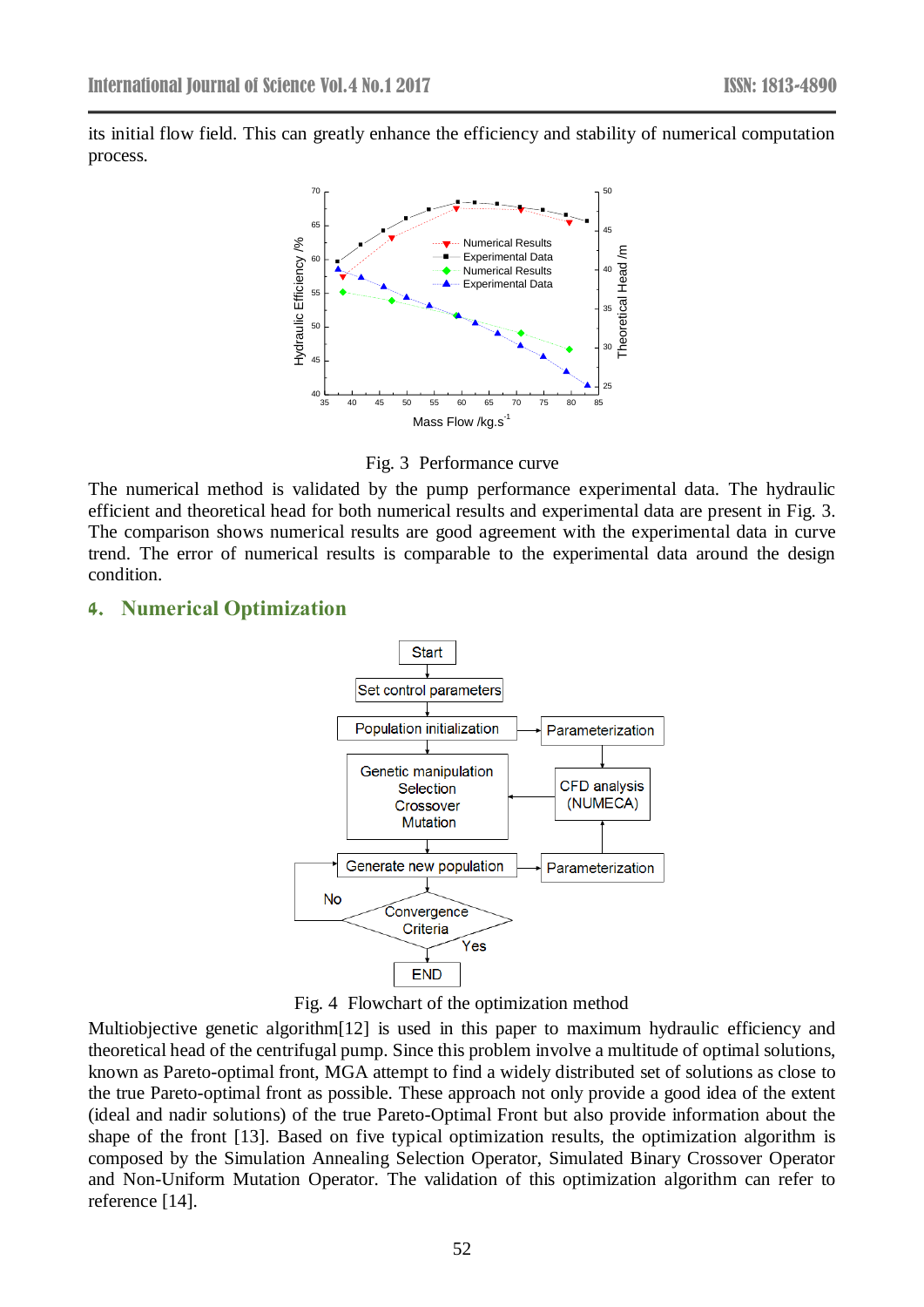its initial flow field. This can greatly enhance the efficiency and stability of numerical computation process.



Fig. 3 Performance curve

The numerical method is validated by the pump performance experimental data. The hydraulic efficient and theoretical head for both numerical results and experimental data are present in Fig. 3. The comparison shows numerical results are good agreement with the experimental data in curve trend. The error of numerical results is comparable to the experimental data around the design condition.

## **4. Numerical Optimization**



Fig. 4 Flowchart of the optimization method

Multiobjective genetic algorithm<sup>[12]</sup> is used in this paper to maximum hydraulic efficiency and theoretical head of the centrifugal pump. Since this problem involve a multitude of optimal solutions, known as Pareto-optimal front, MGA attempt to find a widely distributed set of solutions as close to the true Pareto-optimal front as possible. These approach not only provide a good idea of the extent (ideal and nadir solutions) of the true Pareto-Optimal Front but also provide information about the shape of the front [13]. Based on five typical optimization results, the optimization algorithm is composed by the Simulation Annealing Selection Operator, Simulated Binary Crossover Operator and Non-Uniform Mutation Operator. The validation of this optimization algorithm can refer to reference [14].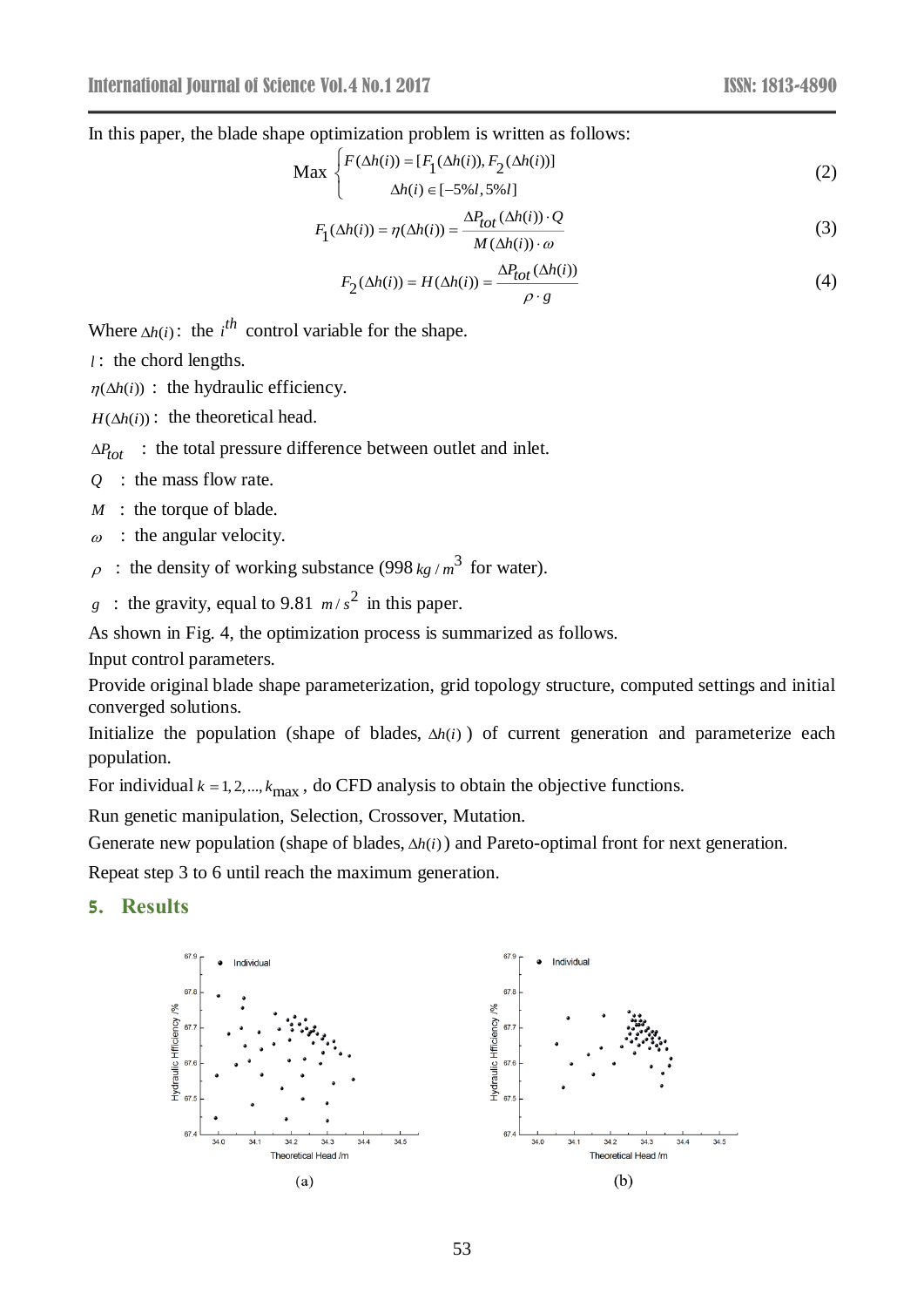In this paper, the blade shape optimization problem is written as follows:

$$
\text{Max}\begin{cases}F(\Delta h(i)) = [F_1(\Delta h(i)), F_2(\Delta h(i))] \\ \Delta h(i) \in [-5\%l, 5\%l] \end{cases} \tag{2}
$$

$$
F_1(\Delta h(i)) = \eta(\Delta h(i)) = \frac{\Delta P_{tot}(\Delta h(i)) \cdot Q}{M(\Delta h(i)) \cdot \omega}
$$
\n(3)

$$
F_2(\Delta h(i)) = H(\Delta h(i)) = \frac{\Delta P_{tot}(\Delta h(i))}{\rho \cdot g}
$$
\n(4)

Where  $\Delta h(i)$ : the *i*<sup>th</sup> control variable for the shape.

*l* : the chord lengths.

 $\eta(\Delta h(i))$ : the hydraulic efficiency.

 $H(\Delta h(i))$ : the theoretical head.

 $\Delta P_{tot}$  : the total pressure difference between outlet and inlet.

- *Q* : the mass flow rate.
- *M* : the torque of blade.
- $\omega$ : the angular velocity.
- $\rho$ : the density of working substance (998 kg/ $m^3$  for water).
- g : the gravity, equal to 9.81  $m/s^2$  in this paper.

As shown in Fig. 4, the optimization process is summarized as follows.

Input control parameters.

Provide original blade shape parameterization, grid topology structure, computed settings and initial converged solutions.

Initialize the population (shape of blades,  $\Delta h(i)$ ) of current generation and parameterize each population.

For individual  $k = 1, 2, \dots, k_{\text{max}}$ , do CFD analysis to obtain the objective functions.

Run genetic manipulation, Selection, Crossover, Mutation.

Generate new population (shape of blades,  $\Delta h(i)$ ) and Pareto-optimal front for next generation.

Repeat step 3 to 6 until reach the maximum generation.

#### **5. Results**

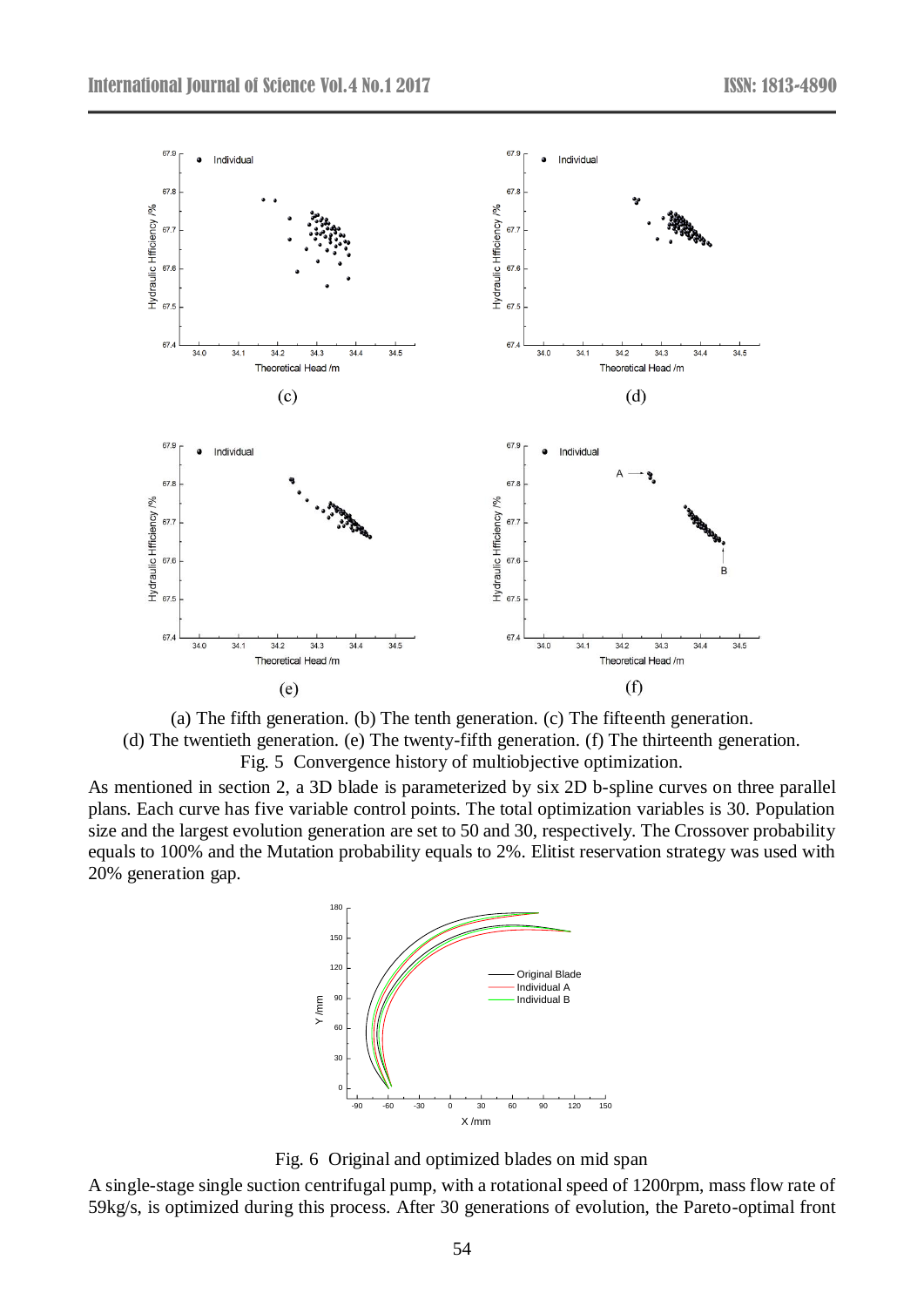

(a) The fifth generation. (b) The tenth generation. (c) The fifteenth generation. (d) The twentieth generation. (e) The twenty-fifth generation. (f) The thirteenth generation. Fig. 5 Convergence history of multiobjective optimization.

As mentioned in section 2, a 3D blade is parameterized by six 2D b-spline curves on three parallel plans. Each curve has five variable control points. The total optimization variables is 30. Population size and the largest evolution generation are set to 50 and 30, respectively. The Crossover probability equals to 100% and the Mutation probability equals to 2%. Elitist reservation strategy was used with 20% generation gap.



Fig. 6 Original and optimized blades on mid span

A single-stage single suction centrifugal pump, with a rotational speed of 1200rpm, mass flow rate of 59kg/s, is optimized during this process. After 30 generations of evolution, the Pareto-optimal front